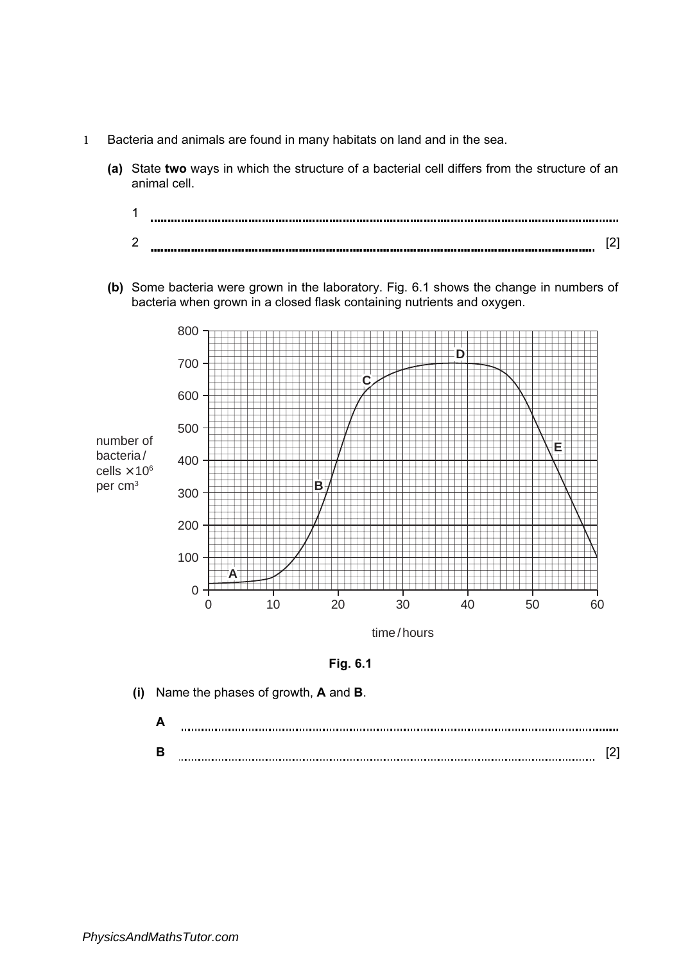- 1 Bacteria and animals are found in many habitats on land and in the sea.
	- (a) State two ways in which the structure of a bacterial cell differs from the structure of an animal cell.



(b) Some bacteria were grown in the laboratory. Fig. 6.1 shows the change in numbers of bacteria when grown in a closed flask containing nutrients and oxygen.



Fig. 6.1

(i) Name the phases of growth, A and B.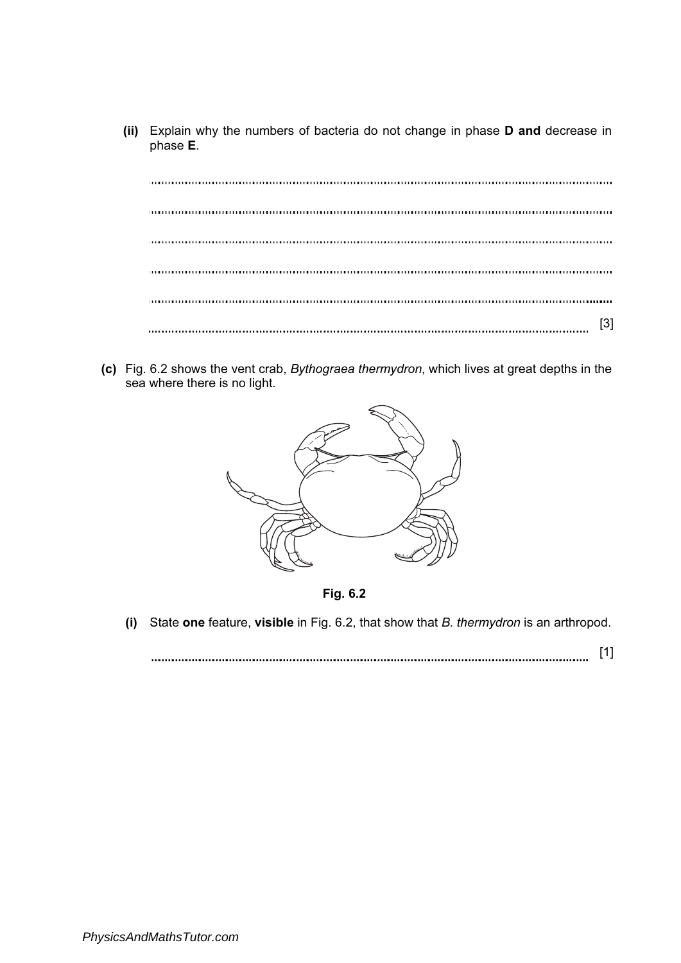(ii) Explain why the numbers of bacteria do not change in phase D and decrease in phase E.

[3]

(c) Fig. 6.2 shows the vent crab, Bythograea thermydron, which lives at great depths in the sea where there is no light.



Fig. 6.2

(i) State one feature, visible in Fig. 6.2, that show that B. thermydron is an arthropod.

[1]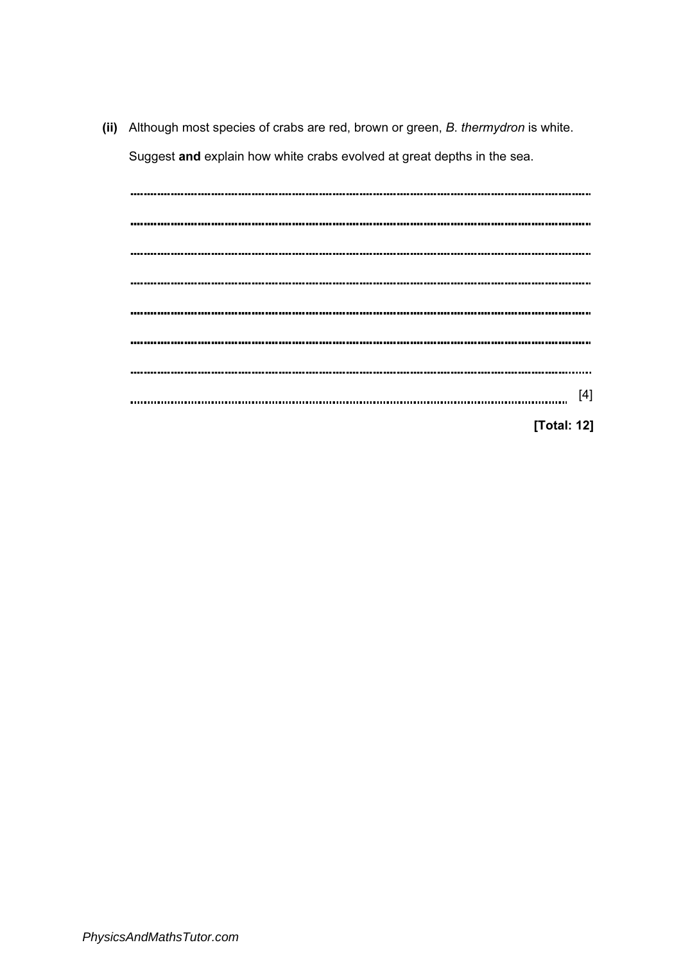(ii) Although most species of crabs are red, brown or green, B. thermydron is white. Suggest and explain how white crabs evolved at great depths in the sea.

| ,,,,,,,,,,,,,, |             |
|----------------|-------------|
|                |             |
|                |             |
|                |             |
|                |             |
|                |             |
|                |             |
|                | $[4]$       |
|                |             |
|                | [Total: 12] |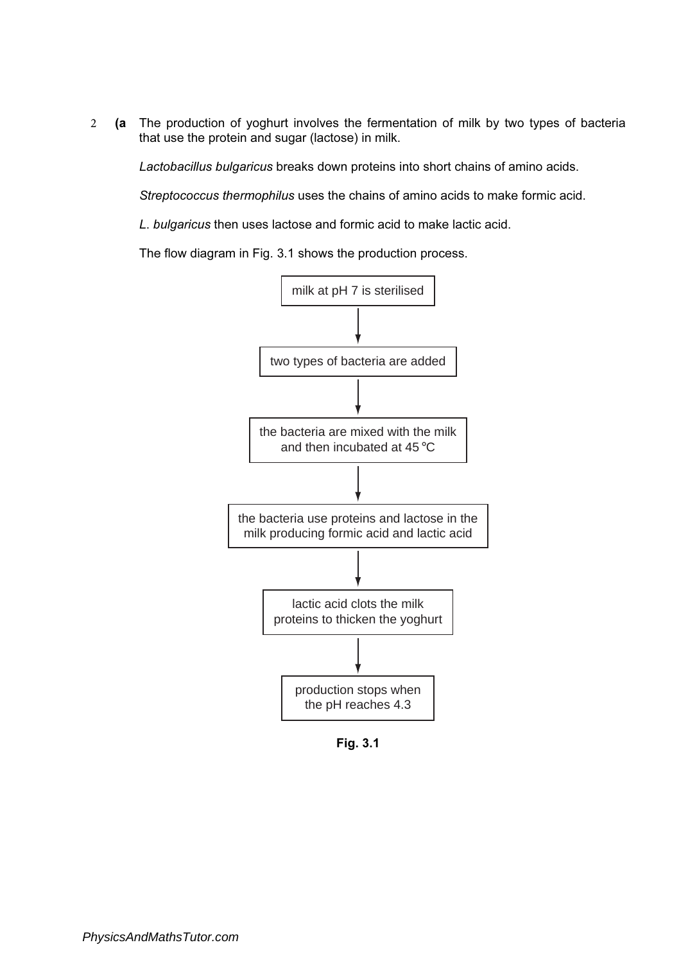2 (a The production of yoghurt involves the fermentation of milk by two types of bacteria that use the protein and sugar (lactose) in milk.

Lactobacillus bulgaricus breaks down proteins into short chains of amino acids.

Streptococcus thermophilus uses the chains of amino acids to make formic acid.

L. bulgaricus then uses lactose and formic acid to make lactic acid.

The flow diagram in Fig. 3.1 shows the production process.



Fig. 3.1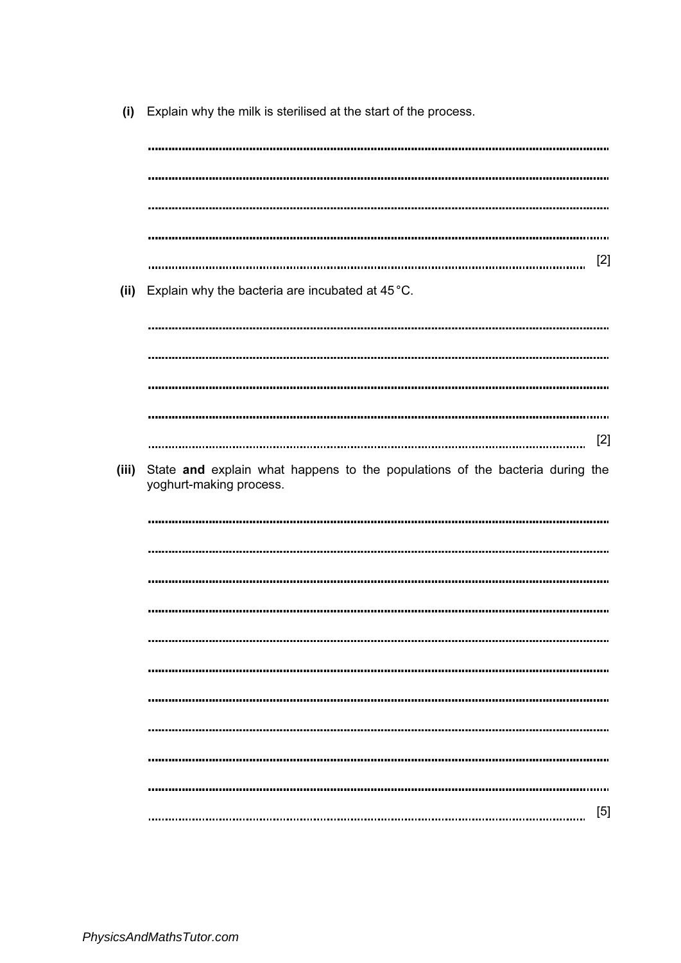(i) Explain why the milk is sterilised at the start of the process.

[2] (ii) Explain why the bacteria are incubated at 45°C. [2] (iii) State and explain what happens to the populations of the bacteria during the yoghurt-making process. [5]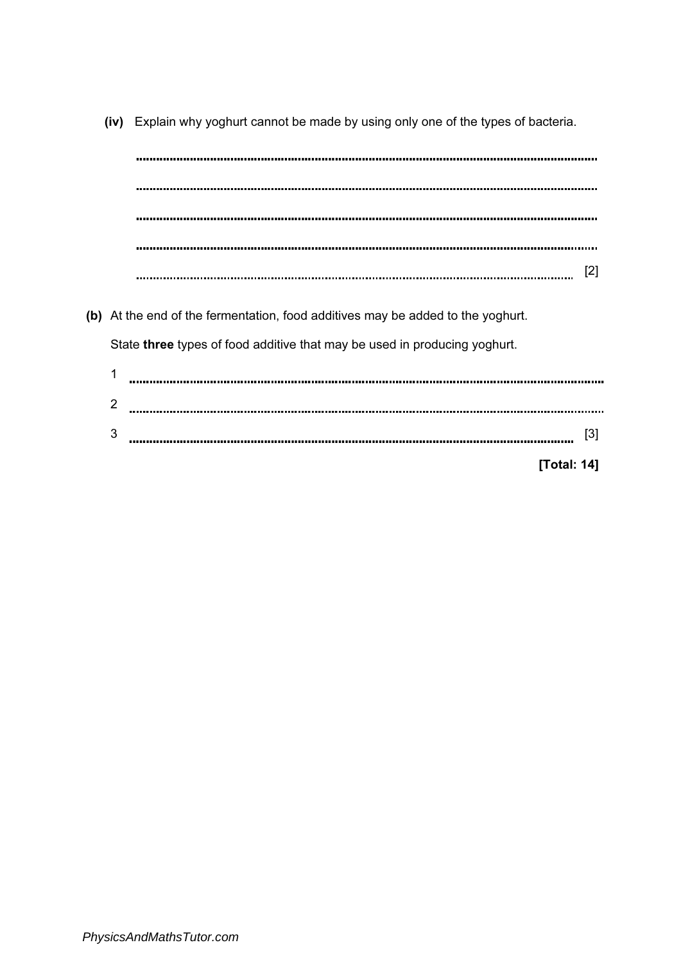[2] (b) At the end of the fermentation, food additives may be added to the yoghurt. State three types of food additive that may be used in producing yoghurt. 1 2 3 [3]

(iv) Explain why yoghurt cannot be made by using only one of the types of bacteria.

[Total: 14]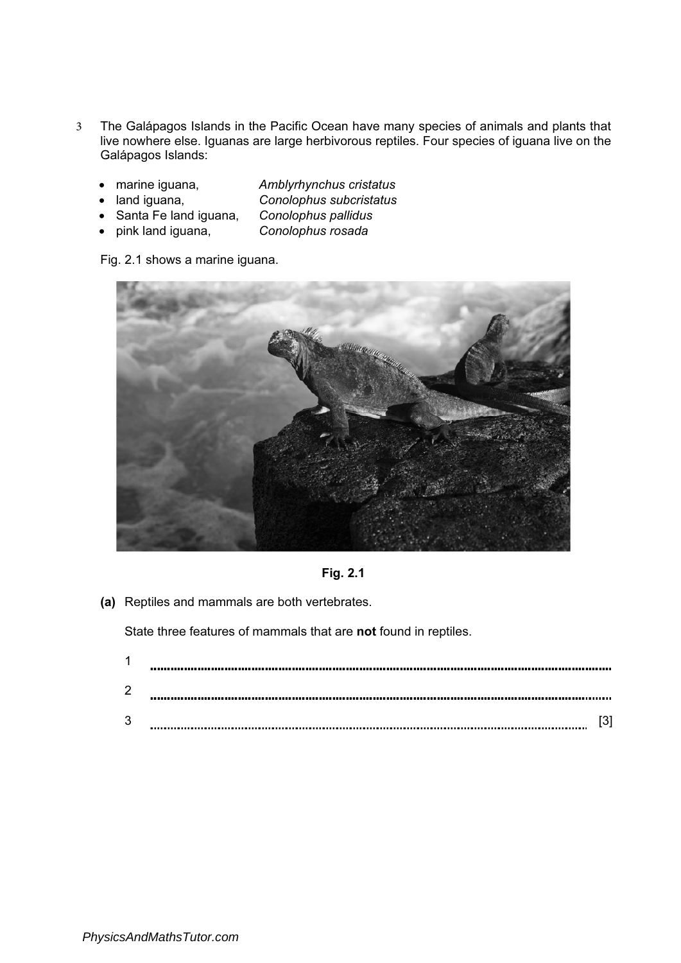- 3 The Galápagos Islands in the Pacific Ocean have many species of animals and plants that live nowhere else. Iguanas are large herbivorous reptiles. Four species of iguana live on the Galápagos Islands:
	- marine iguana, Amblyrhynchus cristatus
	- land iguana, Conolophus subcristatus
	- Santa Fe land iguana, Conolophus pallidus
	- pink land iguana, Conolophus rosada

Fig. 2.1 shows a marine iguana.





(a) Reptiles and mammals are both vertebrates.

State three features of mammals that are not found in reptiles.

| × |  |
|---|--|
| 2 |  |
| 3 |  |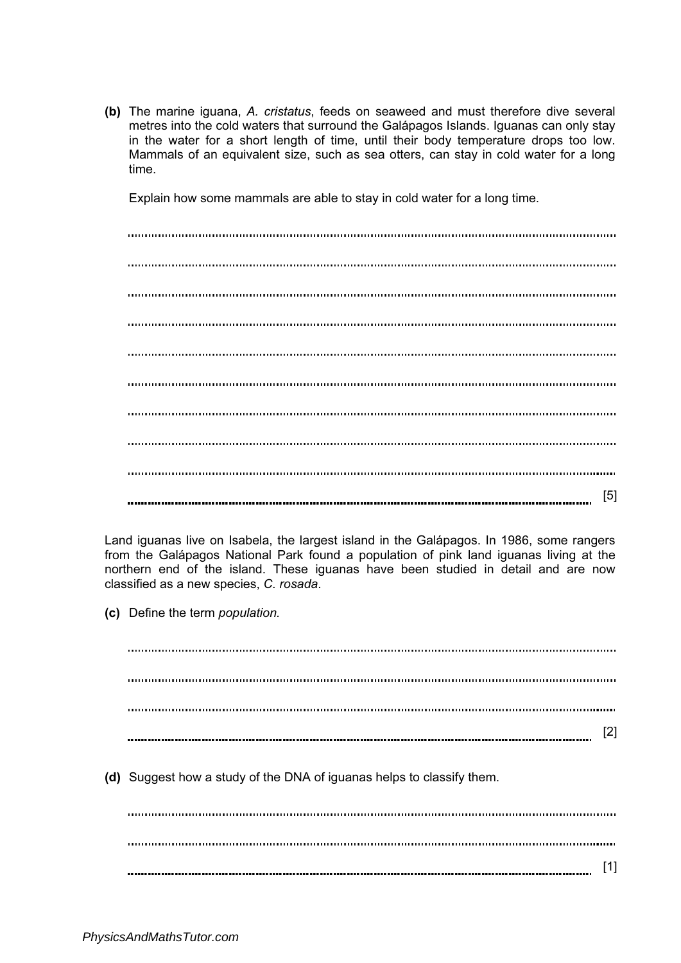(b) The marine iguana, A. cristatus, feeds on seaweed and must therefore dive several metres into the cold waters that surround the Galápagos Islands. Iguanas can only stay in the water for a short length of time, until their body temperature drops too low. Mammals of an equivalent size, such as sea otters, can stay in cold water for a long time.

Explain how some mammals are able to stay in cold water for a long time.

[5]

Land iguanas live on Isabela, the largest island in the Galápagos. In 1986, some rangers from the Galápagos National Park found a population of pink land iguanas living at the northern end of the island. These iguanas have been studied in detail and are now classified as a new species, C. rosada.

(c) Define the term population.

[2] (d) Suggest how a study of the DNA of iguanas helps to classify them. 

[1]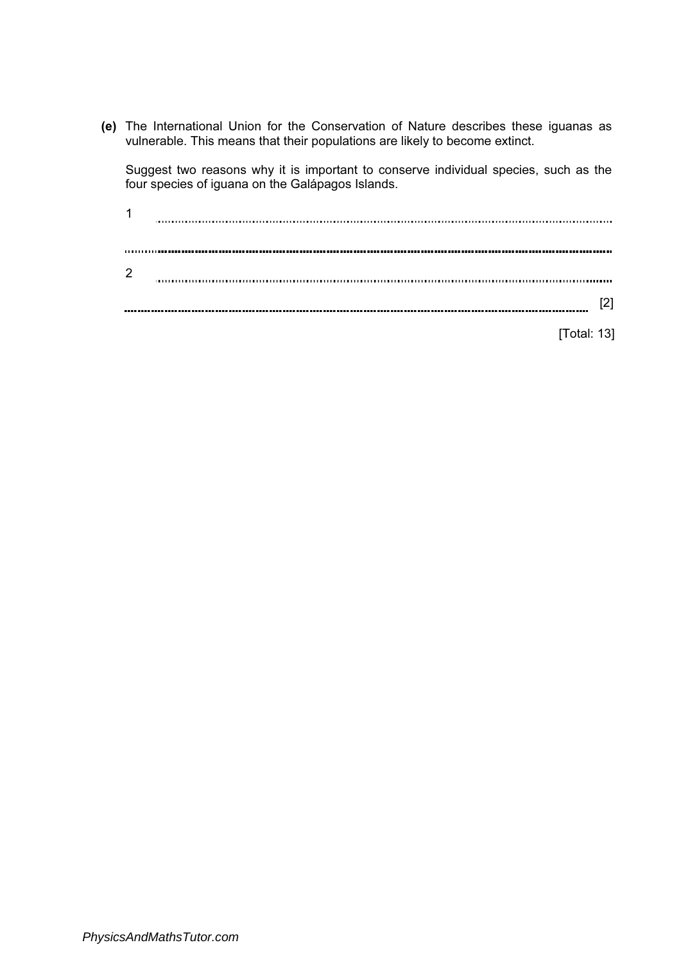(e) The International Union for the Conservation of Nature describes these iguanas as vulnerable. This means that their populations are likely to become extinct.

Suggest two reasons why it is important to conserve individual species, such as the four species of iguana on the Galápagos Islands.

| 1 |  |
|---|--|
|   |  |
|   |  |
| 2 |  |
|   |  |
|   |  |

[Total: 13]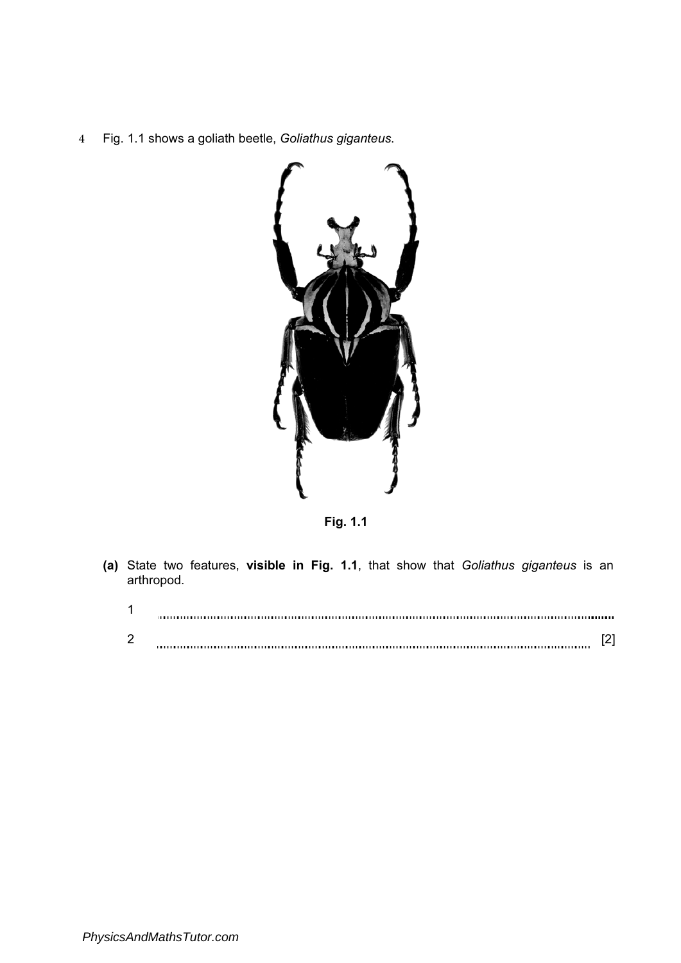4 Fig. 1.1 shows a goliath beetle, Goliathus giganteus.



Fig. 1.1

(a) State two features, visible in Fig. 1.1, that show that Goliathus giganteus is an arthropod.

| ົ<br>- |  |
|--------|--|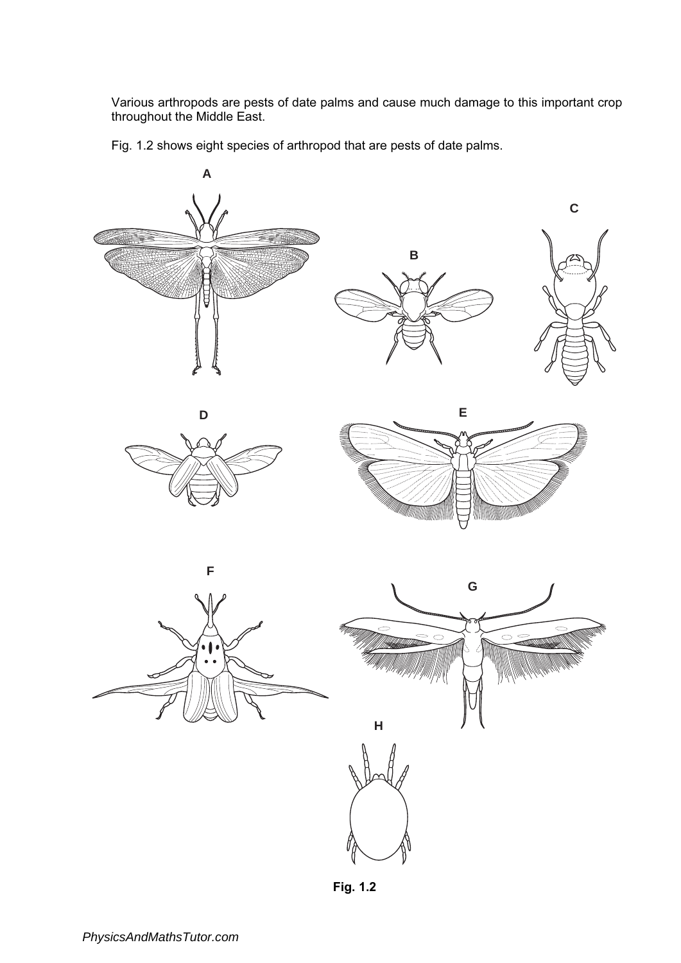Various arthropods are pests of date palms and cause much damage to this important crop throughout the Middle East.

Fig. 1.2 shows eight species of arthropod that are pests of date palms.



Fig. 1.2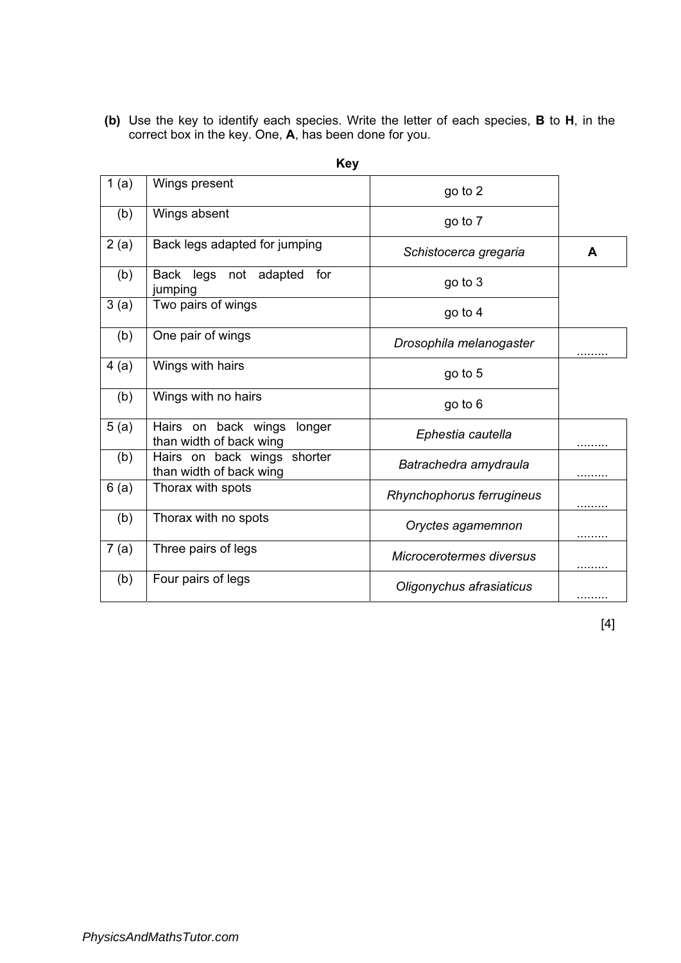(b) Use the key to identify each species. Write the letter of each species, B to H, in the correct box in the key. One, A, has been done for you.

| 1(a) | Wings present                                            | go to 2                   |   |
|------|----------------------------------------------------------|---------------------------|---|
| (b)  | Wings absent                                             | go to 7                   |   |
| 2(a) | Back legs adapted for jumping                            | Schistocerca gregaria     | A |
| (b)  | Back legs not adapted<br>for<br>jumping                  | go to 3                   |   |
| 3(a) | Two pairs of wings                                       | go to 4                   |   |
| (b)  | One pair of wings                                        | Drosophila melanogaster   | . |
| 4(a) | Wings with hairs                                         | go to 5                   |   |
| (b)  | Wings with no hairs                                      | go to 6                   |   |
| 5(a) | Hairs on back wings<br>longer<br>than width of back wing | Ephestia cautella         | . |
| (b)  | Hairs on back wings shorter<br>than width of back wing   | Batrachedra amydraula     | . |
| 6(a) | Thorax with spots                                        | Rhynchophorus ferrugineus | . |
| (b)  | Thorax with no spots                                     | Oryctes agamemnon         |   |
| 7(a) | Three pairs of legs                                      | Microcerotermes diversus  |   |
| (b)  | Four pairs of legs                                       | Oligonychus afrasiaticus  |   |

| ×<br>۰. |
|---------|
|---------|

[4]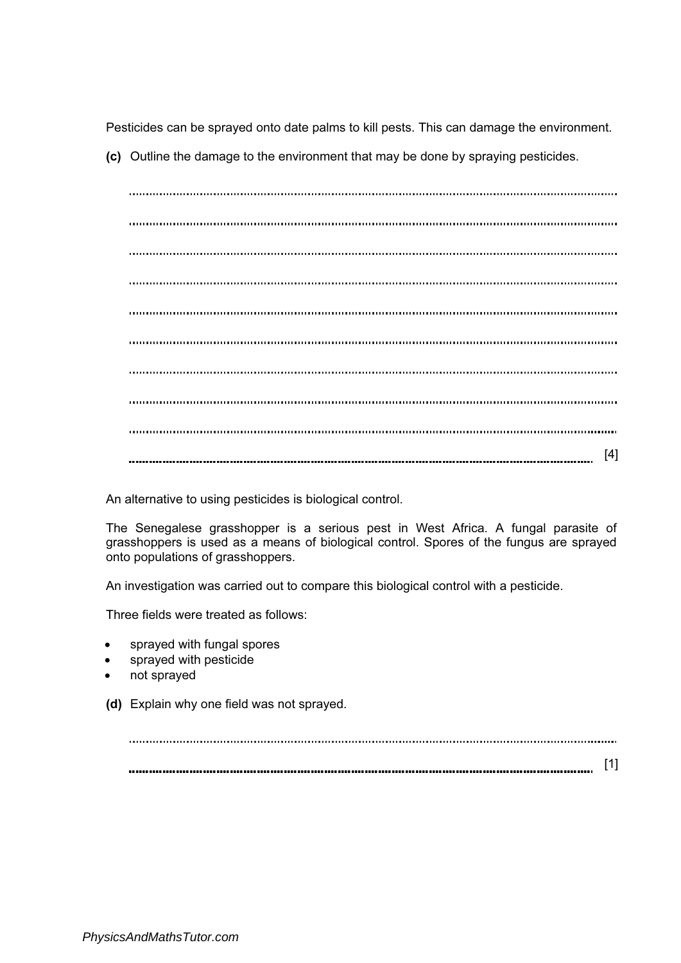Pesticides can be sprayed onto date palms to kill pests. This can damage the environment.

(c) Outline the damage to the environment that may be done by spraying pesticides.

[4]

An alternative to using pesticides is biological control.

The Senegalese grasshopper is a serious pest in West Africa. A fungal parasite of grasshoppers is used as a means of biological control. Spores of the fungus are sprayed onto populations of grasshoppers.

An investigation was carried out to compare this biological control with a pesticide.

Three fields were treated as follows:

- sprayed with fungal spores
- sprayed with pesticide
- not sprayed
- (d) Explain why one field was not sprayed.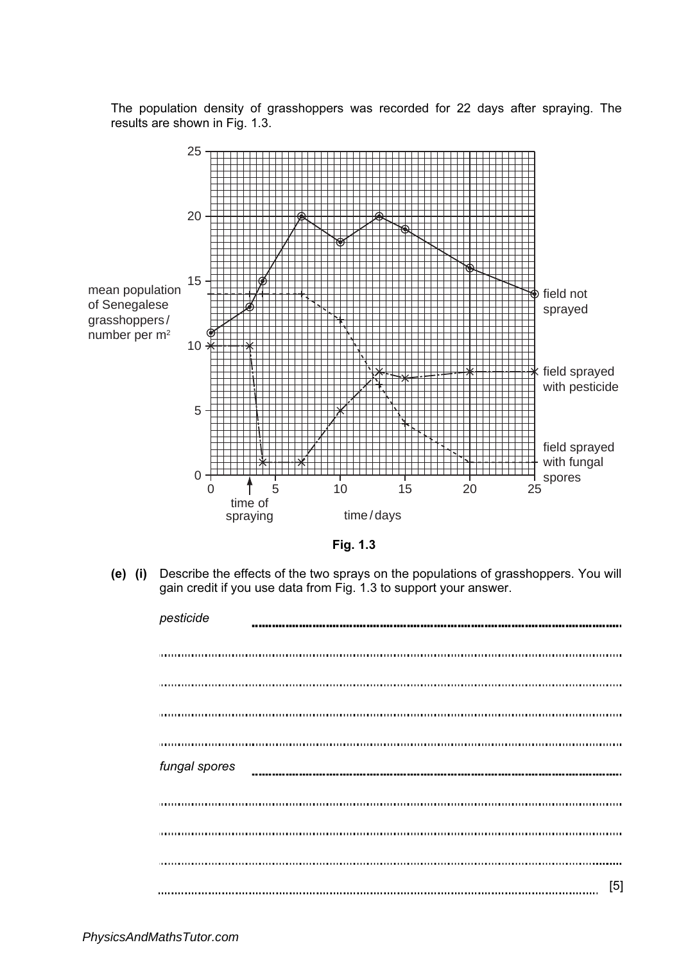The population density of grasshoppers was recorded for 22 days after spraying. The results are shown in Fig. 1.3.





(e) (i) Describe the effects of the two sprays on the populations of grasshoppers. You will gain credit if you use data from Fig. 1.3 to support your answer.

| pesticide     |     |
|---------------|-----|
|               |     |
|               |     |
|               |     |
|               |     |
| fungal spores |     |
|               |     |
|               |     |
|               |     |
|               | [5] |